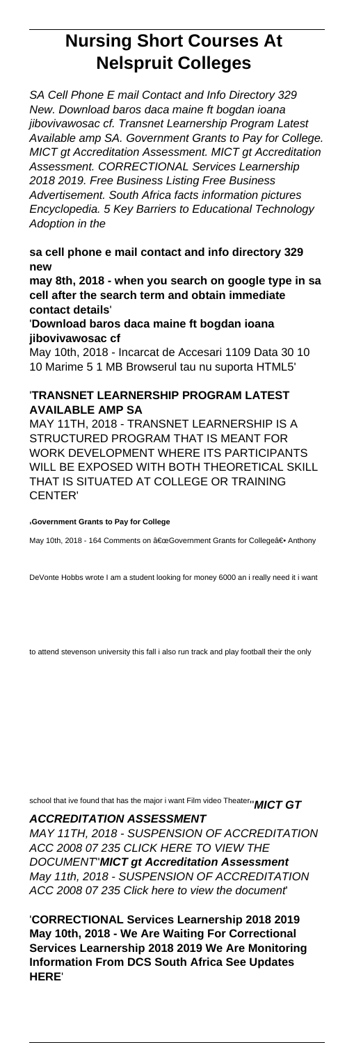## **Nursing Short Courses At Nelspruit Colleges**

SA Cell Phone E mail Contact and Info Directory 329 New. Download baros daca maine ft bogdan ioana jibovivawosac cf. Transnet Learnership Program Latest Available amp SA. Government Grants to Pay for College. MICT gt Accreditation Assessment. MICT gt Accreditation Assessment. CORRECTIONAL Services Learnership 2018 2019. Free Business Listing Free Business Advertisement. South Africa facts information pictures Encyclopedia. 5 Key Barriers to Educational Technology Adoption in the

**sa cell phone e mail contact and info directory 329 new**

**may 8th, 2018 - when you search on google type in sa cell after the search term and obtain immediate contact details**'

'**Download baros daca maine ft bogdan ioana jibovivawosac cf**

May 10th, 2018 - Incarcat de Accesari 1109 Data 30 10 10 Marime 5 1 MB Browserul tau nu suporta HTML5'

## '**TRANSNET LEARNERSHIP PROGRAM LATEST AVAILABLE AMP SA**

MAY 11TH, 2018 - TRANSNET LEARNERSHIP IS A STRUCTURED PROGRAM THAT IS MEANT FOR WORK DEVELOPMENT WHERE ITS PARTICIPANTS WILL BE EXPOSED WITH BOTH THEORETICAL SKILL THAT IS SITUATED AT COLLEGE OR TRAINING CENTER'

## '**Government Grants to Pay for College**

May 10th, 2018 - 164 Comments on "Government Grants for Collegeâ€. Anthony

DeVonte Hobbs wrote I am a student looking for money 6000 an i really need it i want

to attend stevenson university this fall i also run track and play football their the only

school that ive found that has the major i want Film video Theater''**MICT GT**

**ACCREDITATION ASSESSMENT**

MAY 11TH, 2018 - SUSPENSION OF ACCREDITATION ACC 2008 07 235 CLICK HERE TO VIEW THE DOCUMENT''**MICT gt Accreditation Assessment** May 11th, 2018 - SUSPENSION OF ACCREDITATION ACC 2008 07 235 Click here to view the document'

'**CORRECTIONAL Services Learnership 2018 2019 May 10th, 2018 - We Are Waiting For Correctional Services Learnership 2018 2019 We Are Monitoring Information From DCS South Africa See Updates HERE**'